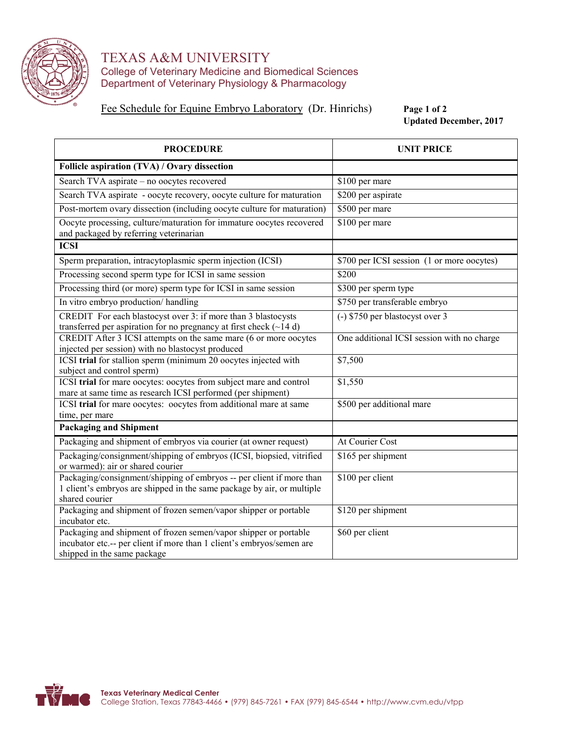

## TEXAS A&M UNIVERSITY College of Veterinary Medicine and Biomedical Sciences Department of Veterinary Physiology & Pharmacology

Fee Schedule for Equine Embryo Laboratory (Dr. Hinrichs) **Page 1 of 2** 

**Updated December, 2017**

| <b>PROCEDURE</b>                                                                                                                                                         | <b>UNIT PRICE</b>                          |  |  |  |
|--------------------------------------------------------------------------------------------------------------------------------------------------------------------------|--------------------------------------------|--|--|--|
| Follicle aspiration (TVA) / Ovary dissection                                                                                                                             |                                            |  |  |  |
| Search TVA aspirate - no oocytes recovered                                                                                                                               | \$100 per mare                             |  |  |  |
| Search TVA aspirate - oocyte recovery, oocyte culture for maturation                                                                                                     | \$200 per aspirate                         |  |  |  |
| Post-mortem ovary dissection (including oocyte culture for maturation)<br>\$500 per mare                                                                                 |                                            |  |  |  |
| Oocyte processing, culture/maturation for immature oocytes recovered<br>and packaged by referring veterinarian                                                           | \$100 per mare                             |  |  |  |
| <b>ICSI</b>                                                                                                                                                              |                                            |  |  |  |
| Sperm preparation, intracytoplasmic sperm injection (ICSI)                                                                                                               | \$700 per ICSI session (1 or more oocytes) |  |  |  |
| Processing second sperm type for ICSI in same session                                                                                                                    | \$200                                      |  |  |  |
| Processing third (or more) sperm type for ICSI in same session                                                                                                           | \$300 per sperm type                       |  |  |  |
| In vitro embryo production/handling                                                                                                                                      | \$750 per transferable embryo              |  |  |  |
| CREDIT For each blastocyst over 3: if more than 3 blastocysts<br>transferred per aspiration for no pregnancy at first check $(\sim 14 d)$                                | (-) \$750 per blastocyst over 3            |  |  |  |
| CREDIT After 3 ICSI attempts on the same mare (6 or more oocytes<br>injected per session) with no blastocyst produced                                                    | One additional ICSI session with no charge |  |  |  |
| ICSI trial for stallion sperm (minimum 20 oocytes injected with<br>subject and control sperm)                                                                            | \$7,500                                    |  |  |  |
| ICSI trial for mare oocytes: oocytes from subject mare and control<br>mare at same time as research ICSI performed (per shipment)                                        | \$1,550                                    |  |  |  |
| ICSI trial for mare oocytes: oocytes from additional mare at same<br>time, per mare                                                                                      | \$500 per additional mare                  |  |  |  |
| <b>Packaging and Shipment</b>                                                                                                                                            |                                            |  |  |  |
| Packaging and shipment of embryos via courier (at owner request)                                                                                                         | At Courier Cost                            |  |  |  |
| Packaging/consignment/shipping of embryos (ICSI, biopsied, vitrified<br>or warmed): air or shared courier                                                                | \$165 per shipment                         |  |  |  |
| Packaging/consignment/shipping of embryos -- per client if more than<br>1 client's embryos are shipped in the same package by air, or multiple<br>shared courier         | \$100 per client                           |  |  |  |
| Packaging and shipment of frozen semen/vapor shipper or portable<br>incubator etc.                                                                                       | \$120 per shipment                         |  |  |  |
| Packaging and shipment of frozen semen/vapor shipper or portable<br>incubator etc.-- per client if more than 1 client's embryos/semen are<br>shipped in the same package | \$60 per client                            |  |  |  |

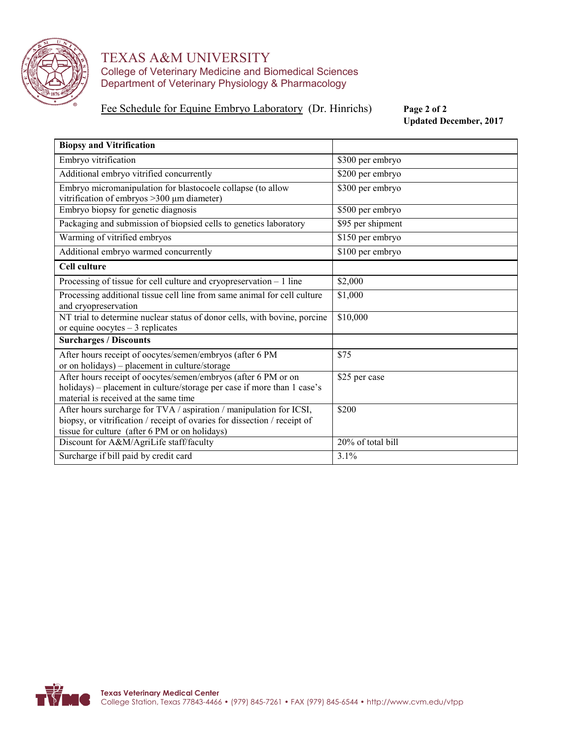

### TEXAS A&M UNIVERSITY College of Veterinary Medicine and Biomedical Sciences Department of Veterinary Physiology & Pharmacology

### Fee Schedule for Equine Embryo Laboratory (Dr. Hinrichs) **Page 2 of 2**

**Updated December, 2017**

| <b>Biopsy and Vitrification</b>                                                                                                                                                                    |                   |  |  |
|----------------------------------------------------------------------------------------------------------------------------------------------------------------------------------------------------|-------------------|--|--|
| Embryo vitrification                                                                                                                                                                               | \$300 per embryo  |  |  |
| Additional embryo vitrified concurrently                                                                                                                                                           | \$200 per embryo  |  |  |
| Embryo micromanipulation for blastocoele collapse (to allow<br>vitrification of embryos $>300 \mu m$ diameter)                                                                                     | \$300 per embryo  |  |  |
| Embryo biopsy for genetic diagnosis                                                                                                                                                                | \$500 per embryo  |  |  |
| Packaging and submission of biopsied cells to genetics laboratory                                                                                                                                  | \$95 per shipment |  |  |
| Warming of vitrified embryos                                                                                                                                                                       | \$150 per embryo  |  |  |
| Additional embryo warmed concurrently                                                                                                                                                              | \$100 per embryo  |  |  |
| <b>Cell culture</b>                                                                                                                                                                                |                   |  |  |
| Processing of tissue for cell culture and cryopreservation $-1$ line                                                                                                                               | \$2,000           |  |  |
| Processing additional tissue cell line from same animal for cell culture<br>and cryopreservation                                                                                                   | \$1,000           |  |  |
| NT trial to determine nuclear status of donor cells, with bovine, porcine<br>or equine oocytes $-3$ replicates                                                                                     | \$10,000          |  |  |
| <b>Surcharges / Discounts</b>                                                                                                                                                                      |                   |  |  |
| After hours receipt of oocytes/semen/embryos (after 6 PM<br>or on holidays) – placement in culture/storage                                                                                         | \$75              |  |  |
| After hours receipt of oocytes/semen/embryos (after 6 PM or on<br>holidays) - placement in culture/storage per case if more than 1 case's<br>material is received at the same time                 | \$25 per case     |  |  |
| After hours surcharge for TVA / aspiration / manipulation for ICSI,<br>biopsy, or vitrification / receipt of ovaries for dissection / receipt of<br>tissue for culture (after 6 PM or on holidays) | \$200             |  |  |
| Discount for A&M/AgriLife staff/faculty                                                                                                                                                            | 20% of total bill |  |  |
| Surcharge if bill paid by credit card                                                                                                                                                              | 3.1%              |  |  |

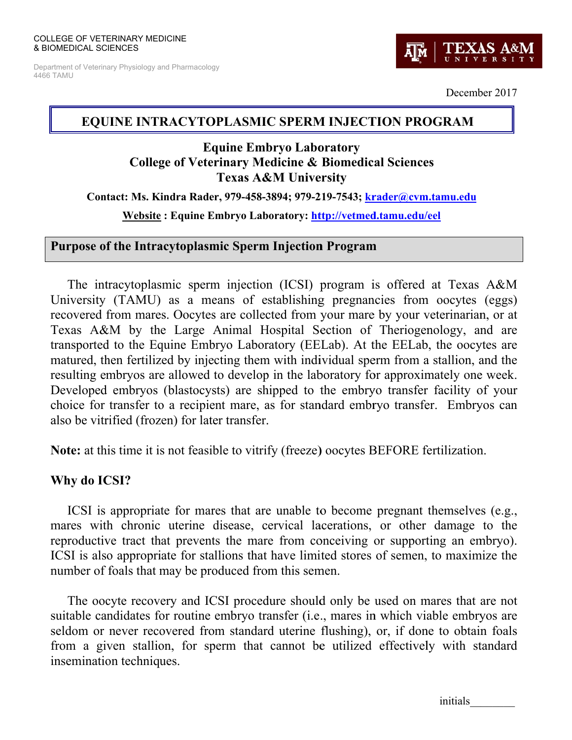Department of Veterinary Physiology and Pharmacology 4466 TAMU



December 2017

# EQUINE INTRACYTOPLASMIC SPERM INJECTION PROGRAM

# **Equine Embryo Laboratory College of Veterinary Medicine & Biomedical Sciences Texas A&M University**

Contact: Ms. Kindra Rader, 979-458-3894; 979-219-7543; krader@cvm.tamu.edu

Website: Equine Embryo Laboratory: http://vetmed.tamu.edu/eel

# **Purpose of the Intracytoplasmic Sperm Injection Program**

The intracytoplasmic sperm injection (ICSI) program is offered at Texas A&M University (TAMU) as a means of establishing pregnancies from operation (eggs) recovered from mares. Oocytes are collected from your mare by your veterinarian, or at Texas A&M by the Large Animal Hospital Section of Theriogenology, and are transported to the Equine Embryo Laboratory (EELab). At the EELab, the oocytes are matured, then fertilized by injecting them with individual sperm from a stallion, and the resulting embryos are allowed to develop in the laboratory for approximately one week. Developed embryos (blastocysts) are shipped to the embryo transfer facility of your choice for transfer to a recipient mare, as for standard embryo transfer. Embryos can also be vitrified (frozen) for later transfer.

**Note:** at this time it is not feasible to vitrify (freeze) objets BEFORE fertilization.

# Why do ICSI?

ICSI is appropriate for mares that are unable to become pregnant themselves (e.g., mares with chronic uterine disease, cervical lacerations, or other damage to the reproductive tract that prevents the mare from conceiving or supporting an embryo). ICSI is also appropriate for stallions that have limited stores of semen, to maximize the number of foals that may be produced from this semen.

The oocyte recovery and ICSI procedure should only be used on mares that are not suitable candidates for routine embryo transfer (*i.e.*, mares in which viable embryos are seldom or never recovered from standard uterine flushing), or, if done to obtain foals from a given stallion, for sperm that cannot be utilized effectively with standard insemination techniques.

initials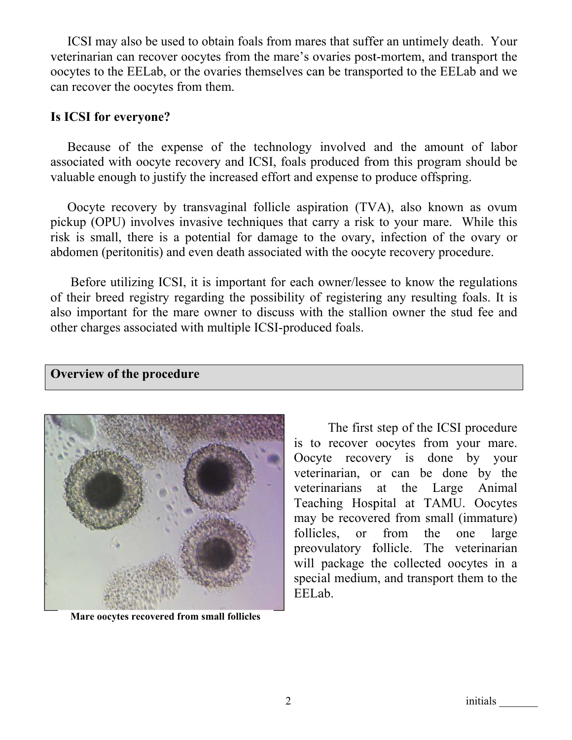ICSI may also be used to obtain foals from mares that suffer an untimely death. Your veterinarian can recover oocytes from the mare's ovaries post-mortem, and transport the oocytes to the EELab, or the ovaries themselves can be transported to the EELab and we can recover the oocytes from them.

## Is ICSI for everyone?

Because of the expense of the technology involved and the amount of labor associated with oocyte recovery and ICSI, foals produced from this program should be valuable enough to justify the increased effort and expense to produce offspring.

Oocyte recovery by transvaginal follicle aspiration (TVA), also known as ovum pickup (OPU) involves invasive techniques that carry a risk to your mare. While this risk is small, there is a potential for damage to the ovary, infection of the ovary or abdomen (peritonitis) and even death associated with the oocyte recovery procedure.

Before utilizing ICSI, it is important for each owner/lessee to know the regulations of their breed registry regarding the possibility of registering any resulting foals. It is also important for the mare owner to discuss with the stallion owner the stud fee and other charges associated with multiple ICSI-produced foals.

Overview of the procedure



Mare oocytes recovered from small follicles

The first step of the ICSI procedure is to recover oocytes from your mare. Oocyte recovery is done by your veterinarian, or can be done by the veterinarians at the Large Animal Teaching Hospital at TAMU. Oocytes may be recovered from small (immature) follicles.  $\alpha$ from the one large preovulatory follicle. The veterinarian will package the collected oocytes in a special medium, and transport them to the EELab.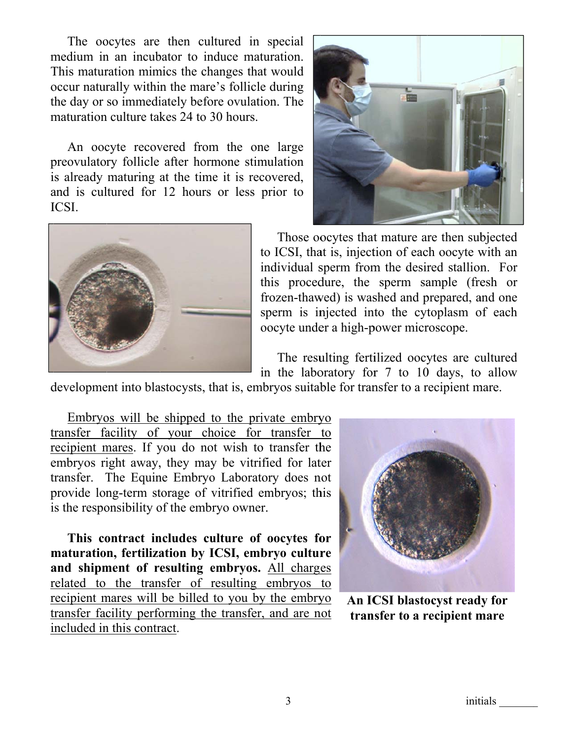The oocytes are then cultured in special medium in an incubator to induce maturation. This maturation mimics the changes that would occur naturally within the mare's follicle during the day or so immediately before ovulation. The maturation culture takes 24 to 30 hours.

An oocyte recovered from the one large preovulatory follicle after hormone stimulation is already maturing at the time it is recovered, and is cultured for 12 hours or less prior to ICSI.





Those oocytes that mature are then subjected to ICSI, that is, injection of each oocyte with an individual sperm from the desired stallion. For this procedure, the sperm sample (fresh or frozen-thawed) is washed and prepared, and one sperm is injected into the cytoplasm of each oocyte under a high-power microscope.

The resulting fertilized oocytes are cultured in the laboratory for 7 to 10 days, to allow

development into blastocysts, that is, embryos suitable for transfer to a recipient mare.

Embryos will be shipped to the private embryo transfer facility of your choice for transfer to recipient mares. If you do not wish to transfer the embryos right away, they may be vitrified for later transfer. The Equine Embryo Laboratory does not provide long-term storage of vitrified embryos; this is the responsibility of the embryo owner.

This contract includes culture of oocytes for maturation, fertilization by ICSI, embryo culture and shipment of resulting embryos. All charges related to the transfer of resulting embryos to recipient mares will be billed to you by the embryo transfer facility performing the transfer, and are not included in this contract.



An ICSI blastocyst ready for transfer to a recipient mare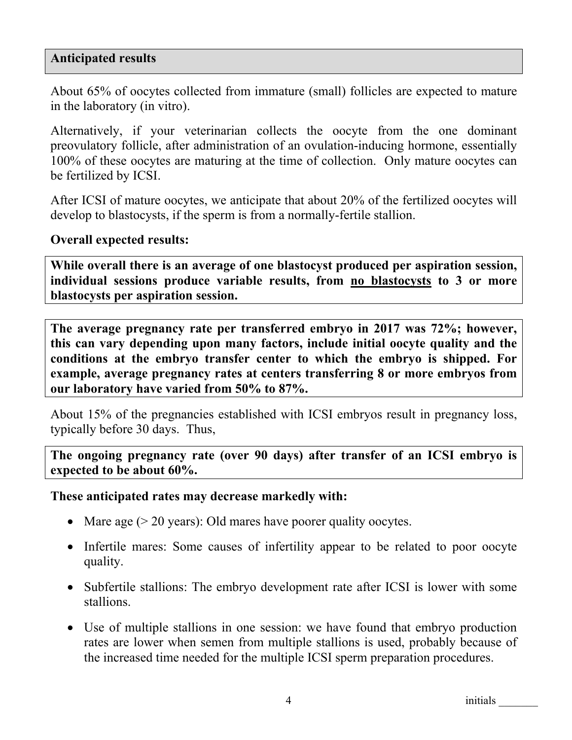# **Anticipated results**

About 65% of oocytes collected from immature (small) follicles are expected to mature in the laboratory (in vitro).

Alternatively, if your veterinarian collects the oocyte from the one dominant preovulatory follicle, after administration of an ovulation-inducing hormone, essentially 100% of these oocytes are maturing at the time of collection. Only mature oocytes can be fertilized by ICSI.

After ICSI of mature oocytes, we anticipate that about 20% of the fertilized oocytes will develop to blastocysts, if the sperm is from a normally-fertile stallion.

### **Overall expected results:**

**While overall there is an average of one blastocyst produced per aspiration session, individual sessions produce variable results, from no blastocysts to 3 or more blastocysts per aspiration session.** 

**The average pregnancy rate per transferred embryo in 2017 was 72%; however, this can vary depending upon many factors, include initial oocyte quality and the conditions at the embryo transfer center to which the embryo is shipped. For example, average pregnancy rates at centers transferring 8 or more embryos from our laboratory have varied from 50% to 87%.** 

About 15% of the pregnancies established with ICSI embryos result in pregnancy loss, typically before 30 days. Thus,

**The ongoing pregnancy rate (over 90 days) after transfer of an ICSI embryo is expected to be about 60%.** 

#### **These anticipated rates may decrease markedly with:**

- Mare age  $(> 20 \text{ years})$ : Old mares have poorer quality oocytes.
- Infertile mares: Some causes of infertility appear to be related to poor oocyte quality.
- Subfertile stallions: The embryo development rate after ICSI is lower with some stallions.
- Use of multiple stallions in one session: we have found that embryo production rates are lower when semen from multiple stallions is used, probably because of the increased time needed for the multiple ICSI sperm preparation procedures.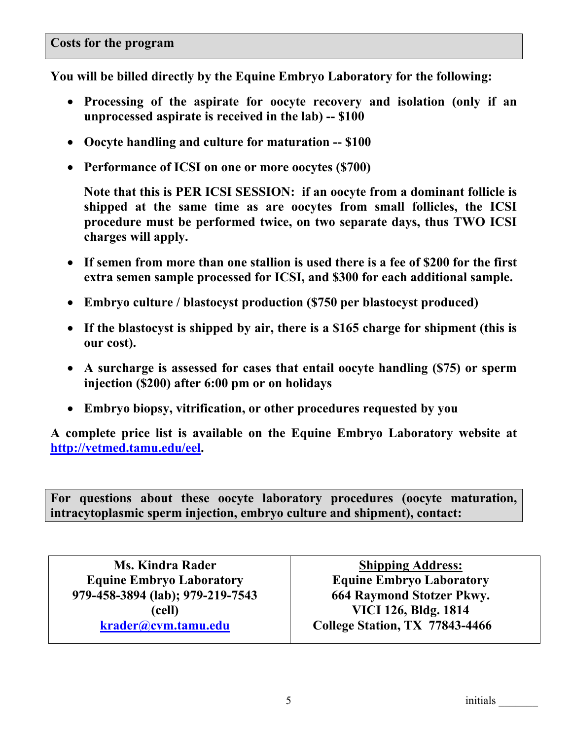**You will be billed directly by the Equine Embryo Laboratory for the following:** 

- x **Processing of the aspirate for oocyte recovery and isolation (only if an unprocessed aspirate is received in the lab) -- \$100**
- x **Oocyte handling and culture for maturation -- \$100**
- x **Performance of ICSI on one or more oocytes (\$700)**

**Note that this is PER ICSI SESSION: if an oocyte from a dominant follicle is shipped at the same time as are oocytes from small follicles, the ICSI procedure must be performed twice, on two separate days, thus TWO ICSI charges will apply.** 

- If semen from more than one stallion is used there is a fee of \$200 for the first **extra semen sample processed for ICSI, and \$300 for each additional sample.**
- x **Embryo culture / blastocyst production (\$750 per blastocyst produced)**
- If the blastocyst is shipped by air, there is a \$165 charge for shipment (this is **our cost).**
- x **A surcharge is assessed for cases that entail oocyte handling (\$75) or sperm injection (\$200) after 6:00 pm or on holidays**
- x **Embryo biopsy, vitrification, or other procedures requested by you**

**A complete price list is available on the Equine Embryo Laboratory website at http://vetmed.tamu.edu/eel.** 

**For questions about these oocyte laboratory procedures (oocyte maturation, intracytoplasmic sperm injection, embryo culture and shipment), contact:** 

| <b>Ms. Kindra Rader</b>          |  |
|----------------------------------|--|
| <b>Equine Embryo Laboratory</b>  |  |
| 979-458-3894 (lab); 979-219-7543 |  |
| (cell)                           |  |
| krader@cvm.tamu.edu              |  |

**Shipping Address: Equine Embryo Laboratory 664 Raymond Stotzer Pkwy. VICI 126, Bldg. 1814 College Station, TX 77843-4466**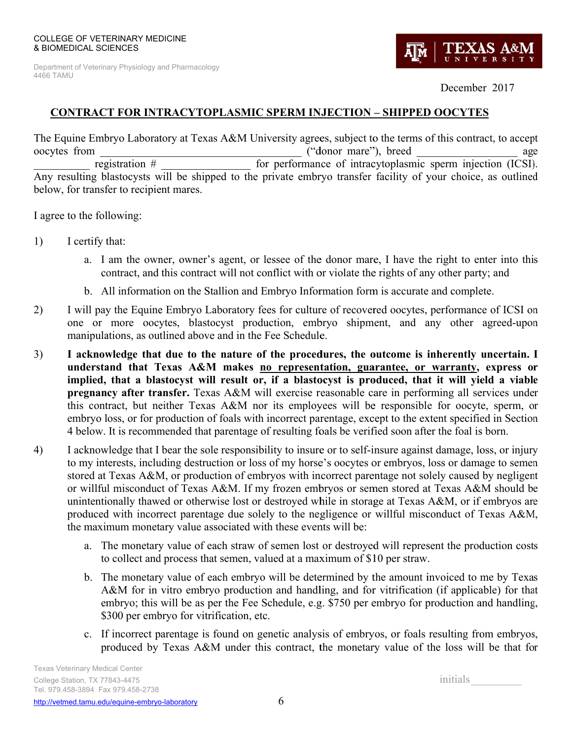Department of Veterinary Physiology and Pharmacology 4466 TAMU



December 2017

## **CONTRACT FOR INTRACYTOPLASMIC SPERM INJECTION - SHIPPED OOCYTES**

The Equine Embryo Laboratory at Texas A&M University agrees, subject to the terms of this contract, to accept oocytes from ("donor mare"), breed age registration  $#$ for performance of intracytoplasmic sperm injection (ICSI). Any resulting blastocysts will be shipped to the private embryo transfer facility of your choice, as outlined below, for transfer to recipient mares.

I agree to the following:

- 1) I certify that:
	- a. I am the owner, owner's agent, or lessee of the donor mare, I have the right to enter into this contract, and this contract will not conflict with or violate the rights of any other party; and
	- b. All information on the Stallion and Embryo Information form is accurate and complete.
- I will pay the Equine Embryo Laboratory fees for culture of recovered oocytes, performance of ICSI on 2) one or more oocytes, blastocyst production, embryo shipment, and any other agreed-upon manipulations, as outlined above and in the Fee Schedule.
- $3)$ I acknowledge that due to the nature of the procedures, the outcome is inherently uncertain. I understand that Texas A&M makes no representation, guarantee, or warranty, express or implied, that a blastocyst will result or, if a blastocyst is produced, that it will yield a viable pregnancy after transfer. Texas A&M will exercise reasonable care in performing all services under this contract, but neither Texas A&M nor its employees will be responsible for oocyte, sperm, or embryo loss, or for production of foals with incorrect parentage, except to the extent specified in Section 4 below. It is recommended that parentage of resulting foals be verified soon after the foal is born.
- I acknowledge that I bear the sole responsibility to insure or to self-insure against damage, loss, or injury 4) to my interests, including destruction or loss of my horse's oocytes or embryos, loss or damage to semen stored at Texas A&M, or production of embryos with incorrect parentage not solely caused by negligent or willful misconduct of Texas A&M. If my frozen embryos or semen stored at Texas A&M should be unintentionally thawed or otherwise lost or destroyed while in storage at Texas A&M, or if embryos are produced with incorrect parentage due solely to the negligence or willful misconduct of Texas A&M, the maximum monetary value associated with these events will be:
	- a. The monetary value of each straw of semen lost or destroyed will represent the production costs to collect and process that semen, valued at a maximum of \$10 per straw.
	- b. The monetary value of each embryo will be determined by the amount invoiced to me by Texas A&M for in vitro embryo production and handling, and for vitrification (if applicable) for that embryo; this will be as per the Fee Schedule, e.g. \$750 per embryo for production and handling, \$300 per embryo for vitrification, etc.
	- c. If incorrect parentage is found on genetic analysis of embryos, or foals resulting from embryos, produced by Texas A&M under this contract, the monetary value of the loss will be that for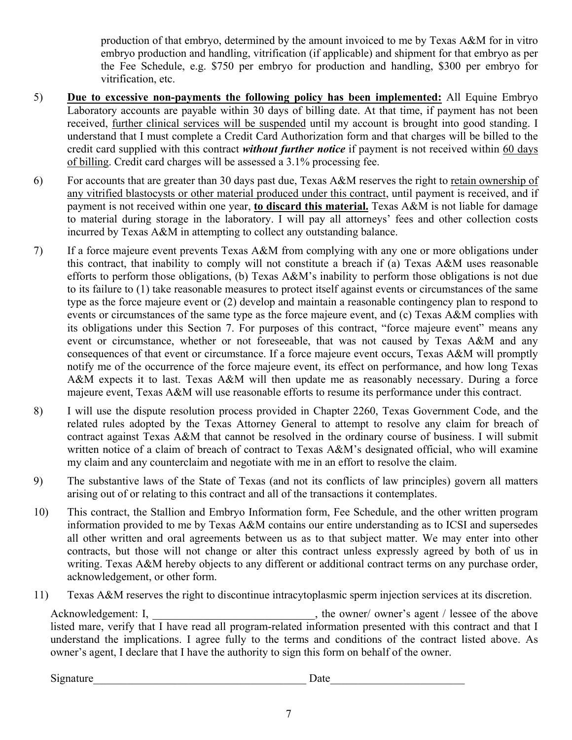production of that embryo, determined by the amount invoiced to me by Texas A&M for in vitro embryo production and handling, vitrification (if applicable) and shipment for that embryo as per the Fee Schedule, e.g. \$750 per embryo for production and handling, \$300 per embryo for vitrification, etc.

- 5) **Due to excessive non-payments the following policy has been implemented:** All Equine Embryo Laboratory accounts are payable within 30 days of billing date. At that time, if payment has not been received, further clinical services will be suspended until my account is brought into good standing. I understand that I must complete a Credit Card Authorization form and that charges will be billed to the credit card supplied with this contract *without further notice* if payment is not received within 60 days of billing. Credit card charges will be assessed a 3.1% processing fee.
- 6) For accounts that are greater than 30 days past due, Texas A&M reserves the right to retain ownership of any vitrified blastocysts or other material produced under this contract, until payment is received, and if payment is not received within one year, **to discard this material.** Texas A&M is not liable for damage to material during storage in the laboratory. I will pay all attorneys' fees and other collection costs incurred by Texas A&M in attempting to collect any outstanding balance.
- 7) If a force majeure event prevents Texas A&M from complying with any one or more obligations under this contract, that inability to comply will not constitute a breach if (a) Texas A&M uses reasonable efforts to perform those obligations, (b) Texas A&M's inability to perform those obligations is not due to its failure to (1) take reasonable measures to protect itself against events or circumstances of the same type as the force majeure event or (2) develop and maintain a reasonable contingency plan to respond to events or circumstances of the same type as the force majeure event, and (c) Texas A&M complies with its obligations under this Section 7. For purposes of this contract, "force majeure event" means any event or circumstance, whether or not foreseeable, that was not caused by Texas A&M and any consequences of that event or circumstance. If a force majeure event occurs, Texas A&M will promptly notify me of the occurrence of the force majeure event, its effect on performance, and how long Texas A&M expects it to last. Texas A&M will then update me as reasonably necessary. During a force majeure event, Texas A&M will use reasonable efforts to resume its performance under this contract.
- 8) I will use the dispute resolution process provided in Chapter 2260, Texas Government Code, and the related rules adopted by the Texas Attorney General to attempt to resolve any claim for breach of contract against Texas A&M that cannot be resolved in the ordinary course of business. I will submit written notice of a claim of breach of contract to Texas A&M's designated official, who will examine my claim and any counterclaim and negotiate with me in an effort to resolve the claim.
- 9) The substantive laws of the State of Texas (and not its conflicts of law principles) govern all matters arising out of or relating to this contract and all of the transactions it contemplates.
- 10) This contract, the Stallion and Embryo Information form, Fee Schedule, and the other written program information provided to me by Texas A&M contains our entire understanding as to ICSI and supersedes all other written and oral agreements between us as to that subject matter. We may enter into other contracts, but those will not change or alter this contract unless expressly agreed by both of us in writing. Texas A&M hereby objects to any different or additional contract terms on any purchase order, acknowledgement, or other form.
- 11) Texas A&M reserves the right to discontinue intracytoplasmic sperm injection services at its discretion.

Acknowledgement: I, \_\_\_\_\_\_\_\_\_\_\_\_\_\_\_\_\_\_\_\_\_\_\_\_\_\_\_\_\_\_, the owner/ owner's agent / lessee of the above listed mare, verify that I have read all program-related information presented with this contract and that I understand the implications. I agree fully to the terms and conditions of the contract listed above. As owner's agent, I declare that I have the authority to sign this form on behalf of the owner.

Signature Date